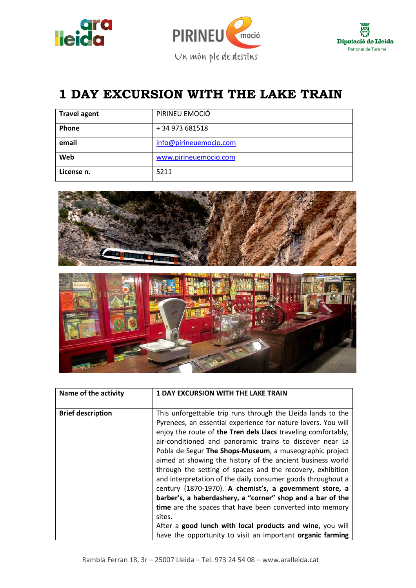



## **1 DAY EXCURSION WITH THE LAKE TRAIN**

| <b>Travel agent</b> | PIRINEU EMOCIÓ         |
|---------------------|------------------------|
| Phone               | +34 973 681518         |
| email               | info@pirineuemocio.com |
| Web                 | www.pirineuemocio.com  |
| License n.          | 5211                   |





| Name of the activity     | <b>1 DAY EXCURSION WITH THE LAKE TRAIN</b>                    |
|--------------------------|---------------------------------------------------------------|
|                          |                                                               |
| <b>Brief description</b> | This unforgettable trip runs through the Lleida lands to the  |
|                          | Pyrenees, an essential experience for nature lovers. You will |
|                          | enjoy the route of the Tren dels Llacs traveling comfortably, |
|                          | air-conditioned and panoramic trains to discover near La      |
|                          | Pobla de Segur The Shops-Museum, a museographic project       |
|                          | aimed at showing the history of the ancient business world    |
|                          | through the setting of spaces and the recovery, exhibition    |
|                          | and interpretation of the daily consumer goods throughout a   |
|                          | century (1870-1970). A chemist's, a government store, a       |
|                          | barber's, a haberdashery, a "corner" shop and a bar of the    |
|                          | time are the spaces that have been converted into memory      |
|                          | sites.                                                        |
|                          | After a good lunch with local products and wine, you will     |
|                          | have the opportunity to visit an important organic farming    |